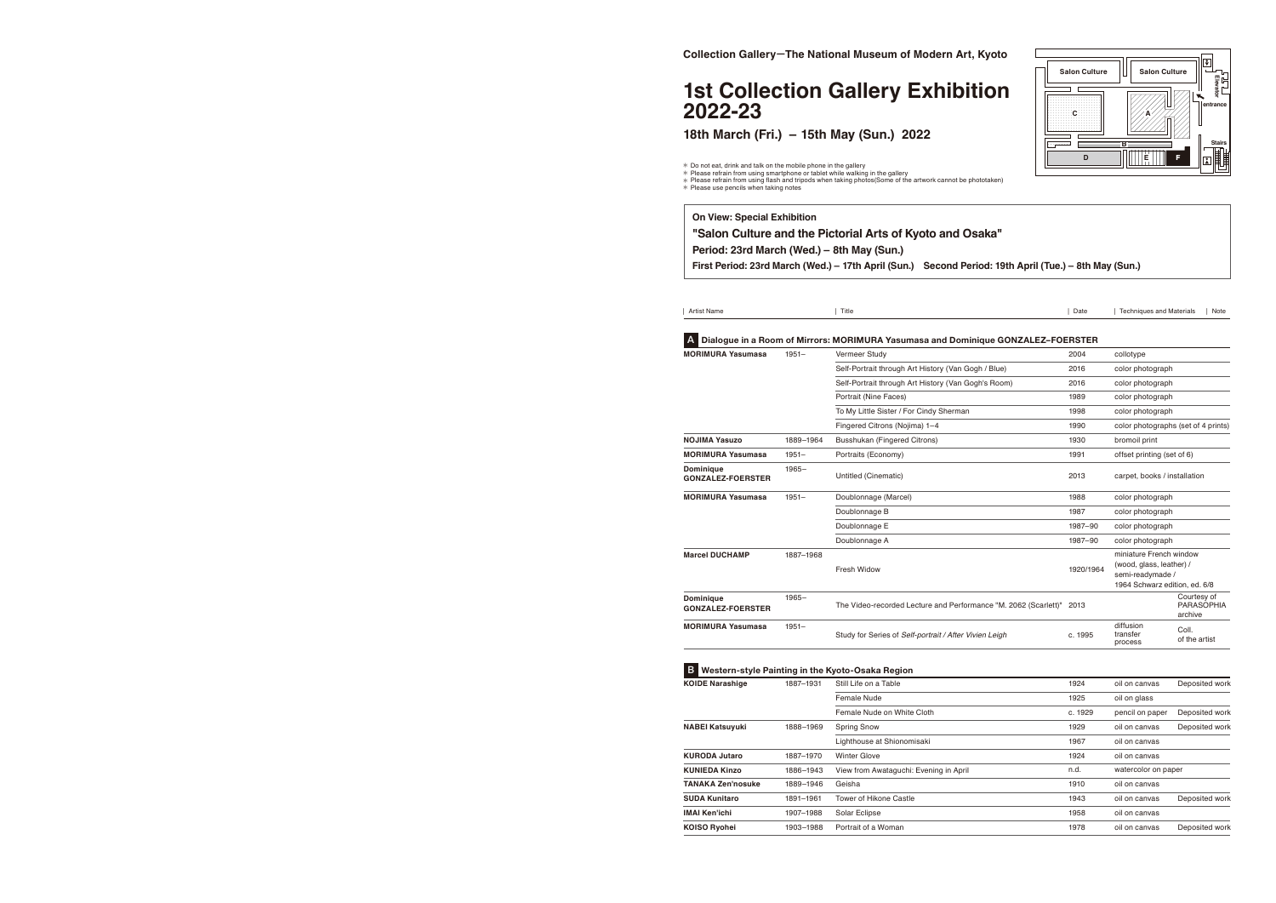| Artist Name                                  |           | Title                                                                            | Date      | <b>Techniques and Materials</b>                                                                          |                                             | Note |
|----------------------------------------------|-----------|----------------------------------------------------------------------------------|-----------|----------------------------------------------------------------------------------------------------------|---------------------------------------------|------|
|                                              |           | Dialogue in a Room of Mirrors: MORIMURA Yasumasa and Dominique GONZALEZ-FOERSTER |           |                                                                                                          |                                             |      |
| <b>MORIMURA Yasumasa</b>                     | $1951 -$  | Vermeer Study                                                                    | 2004      | collotype                                                                                                |                                             |      |
|                                              |           | Self-Portrait through Art History (Van Gogh / Blue)                              | 2016      | color photograph                                                                                         |                                             |      |
|                                              |           | Self-Portrait through Art History (Van Gogh's Room)                              | 2016      | color photograph                                                                                         |                                             |      |
|                                              |           | Portrait (Nine Faces)                                                            | 1989      | color photograph                                                                                         |                                             |      |
|                                              |           | To My Little Sister / For Cindy Sherman                                          | 1998      | color photograph                                                                                         |                                             |      |
|                                              |           | Fingered Citrons (Nojima) 1-4                                                    | 1990      | color photographs (set of 4 prints)                                                                      |                                             |      |
| <b>NOJIMA Yasuzo</b>                         | 1889-1964 | <b>Busshukan (Fingered Citrons)</b>                                              | 1930      | bromoil print                                                                                            |                                             |      |
| <b>MORIMURA Yasumasa</b>                     | $1951 -$  | Portraits (Economy)                                                              | 1991      | offset printing (set of 6)                                                                               |                                             |      |
| <b>Dominique</b><br><b>GONZALEZ-FOERSTER</b> | $1965 -$  | Untitled (Cinematic)                                                             | 2013      | carpet, books / installation                                                                             |                                             |      |
| <b>MORIMURA Yasumasa</b>                     | $1951 -$  | Doublonnage (Marcel)                                                             | 1988      | color photograph                                                                                         |                                             |      |
|                                              |           | Doublonnage B                                                                    | 1987      | color photograph                                                                                         |                                             |      |
|                                              |           | Doublonnage E                                                                    | 1987-90   | color photograph                                                                                         |                                             |      |
|                                              |           | Doublonnage A                                                                    | 1987-90   | color photograph                                                                                         |                                             |      |
| <b>Marcel DUCHAMP</b>                        | 1887-1968 | Fresh Widow                                                                      | 1920/1964 | miniature French window<br>(wood, glass, leather) /<br>semi-readymade /<br>1964 Schwarz edition, ed. 6/8 |                                             |      |
| <b>Dominique</b><br><b>GONZALEZ-FOERSTER</b> | $1965 -$  | The Video-recorded Lecture and Performance "M. 2062 (Scarlett)"                  | 2013      |                                                                                                          | Courtesy of<br><b>PARASOPHIA</b><br>archive |      |
| <b>MORIMURA Yasumasa</b>                     | $1951 -$  | Study for Series of Self-portrait / After Vivien Leigh                           | c. 1995   | diffusion<br>transfer<br>process                                                                         | Coll.<br>of the artist                      |      |

| <b>B</b> Western-style Painting in the Kyoto-Osaka Region |           |                                        |         |                     |                |
|-----------------------------------------------------------|-----------|----------------------------------------|---------|---------------------|----------------|
| <b>KOIDE Narashige</b>                                    | 1887-1931 | Still Life on a Table                  | 1924    | oil on canvas       | Deposited work |
|                                                           |           | Female Nude                            | 1925    | oil on glass        |                |
|                                                           |           | Female Nude on White Cloth             | c. 1929 | pencil on paper     | Deposited work |
| <b>NABEI Katsuyuki</b>                                    | 1888-1969 | <b>Spring Snow</b>                     | 1929    | oil on canvas       | Deposited work |
|                                                           |           | Lighthouse at Shionomisaki             | 1967    | oil on canvas       |                |
| <b>KURODA Jutaro</b>                                      | 1887-1970 | Winter Glove                           | 1924    | oil on canvas       |                |
| <b>KUNIEDA Kinzo</b>                                      | 1886-1943 | View from Awataquchi: Evening in April | n.d.    | watercolor on paper |                |
| <b>TANAKA Zen'nosuke</b>                                  | 1889-1946 | Geisha                                 | 1910    | oil on canvas       |                |
| <b>SUDA Kunitaro</b>                                      | 1891-1961 | Tower of Hikone Castle                 | 1943    | oil on canvas       | Deposited work |
| IMAI Ken'ichi                                             | 1907-1988 | Solar Eclipse                          | 1958    | oil on canvas       |                |
| <b>KOISO Ryohei</b>                                       | 1903-1988 | Portrait of a Woman                    | 1978    | oil on canvas       | Deposited work |
|                                                           |           |                                        |         |                     |                |

| <b>On View: Special Exhibition</b>                         |  |
|------------------------------------------------------------|--|
| "Salon Culture and the Pictorial Arts of Kyoto and         |  |
| Period: 23rd March (Wed.) – 8th May (Sun.)                 |  |
| First Period: 23rd March (Wed.) - 17th April (Sun.) Second |  |
|                                                            |  |

# **1st Collection Gallery Exhibition 2022-23**



# **Osaka"**

### **Feriod: 19th April (Tue.) – 8th May (Sun.)**

**18th March (Fri.) – 15th May (Sun.) 2022**

% Do not eat, drink and talk on the mobile phone in the gallery<br>\* Please refrain from using smartphone or tablet while walking in the gallery<br>\* Please refrain from using flash and tripods when taking photos(Some of the art